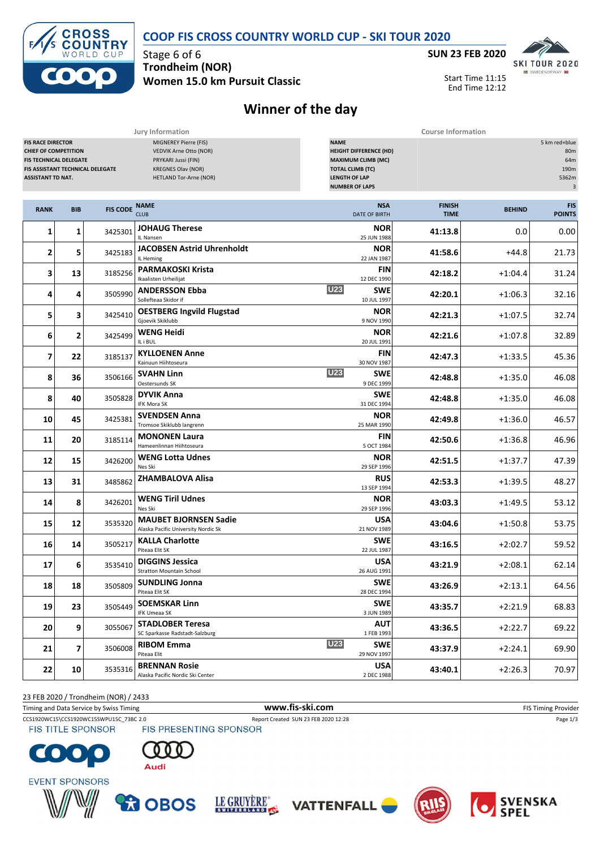

## **COOP FIS CROSS COUNTRY WORLD CUP - SKI TOUR 2020**

**Women 15.0 km Pursuit Classic**



Start Time 11:15 End Time 12:12

## **Winner of the day**

|                                                                                                                                                          |                         |                 | Jury Information                                                                                                                     |                                                                                                                                                       | <b>Course Information</b>    |               |                                                                           |  |  |
|----------------------------------------------------------------------------------------------------------------------------------------------------------|-------------------------|-----------------|--------------------------------------------------------------------------------------------------------------------------------------|-------------------------------------------------------------------------------------------------------------------------------------------------------|------------------------------|---------------|---------------------------------------------------------------------------|--|--|
| <b>FIS RACE DIRECTOR</b><br><b>CHIEF OF COMPETITION</b><br><b>FIS TECHNICAL DELEGATE</b><br>FIS ASSISTANT TECHNICAL DELEGATE<br><b>ASSISTANT TD NAT.</b> |                         |                 | MIGNEREY Pierre (FIS)<br>VEDVIK Arne Otto (NOR)<br>PRYKARI Jussi (FIN)<br><b>KREGNES Olav (NOR)</b><br><b>HETLAND Tor-Arne (NOR)</b> | <b>NAME</b><br><b>HEIGHT DIFFERENCE (HD)</b><br><b>MAXIMUM CLIMB (MC)</b><br><b>TOTAL CLIMB (TC)</b><br><b>LENGTH OF LAP</b><br><b>NUMBER OF LAPS</b> |                              |               | 5 km red+blue<br>80m<br>64m<br>190m<br>5362m<br>$\ensuremath{\mathsf{3}}$ |  |  |
| <b>RANK</b>                                                                                                                                              | <b>BIB</b>              | <b>FIS CODE</b> | <b>NAME</b><br><b>CLUB</b>                                                                                                           | <b>NSA</b><br><b>DATE OF BIRTH</b>                                                                                                                    | <b>FINISH</b><br><b>TIME</b> | <b>BEHIND</b> | <b>FIS</b><br><b>POINTS</b>                                               |  |  |
| 1                                                                                                                                                        | 1                       | 3425301         | <b>JOHAUG Therese</b><br>IL Nansen                                                                                                   | <b>NOR</b><br>25 JUN 1988                                                                                                                             | 41:13.8                      | 0.0           | 0.00                                                                      |  |  |
| 2                                                                                                                                                        | 5                       | 3425183         | <b>JACOBSEN Astrid Uhrenholdt</b><br>IL Heming                                                                                       | <b>NOR</b><br>22 JAN 1987                                                                                                                             | 41:58.6                      | +44.8         | 21.73                                                                     |  |  |
| 3                                                                                                                                                        | 13                      | 3185256         | <b>PARMAKOSKI Krista</b><br>Ikaalisten Urheilijat                                                                                    | <b>FIN</b><br>12 DEC 1990                                                                                                                             | 42:18.2                      | $+1:04.4$     | 31.24                                                                     |  |  |
| 4                                                                                                                                                        | 4                       | 3505990         | <b>ANDERSSON Ebba</b><br>Sollefteaa Skidor if                                                                                        | <b>U23</b><br><b>SWE</b><br>10 JUL 1997                                                                                                               | 42:20.1                      | $+1:06.3$     | 32.16                                                                     |  |  |
| 5                                                                                                                                                        | 3                       | 3425410         | <b>OESTBERG Ingvild Flugstad</b><br>Gjoevik Skiklubb                                                                                 | <b>NOR</b><br>9 NOV 1990                                                                                                                              | 42:21.3                      | $+1:07.5$     | 32.74                                                                     |  |  |
| 6                                                                                                                                                        | 2                       | 3425499         | <b>WENG Heidi</b><br>IL i BUL                                                                                                        | <b>NOR</b><br>20 JUL 1991                                                                                                                             | 42:21.6                      | $+1:07.8$     | 32.89                                                                     |  |  |
| $\overline{7}$                                                                                                                                           | 22                      | 3185137         | <b>KYLLOENEN Anne</b><br>Kainuun Hiihtoseura                                                                                         | <b>FIN</b><br>30 NOV 1987                                                                                                                             | 42:47.3                      | $+1:33.5$     | 45.36                                                                     |  |  |
| 8                                                                                                                                                        | 36                      | 3506166         | <b>SVAHN Linn</b><br>Oestersunds SK                                                                                                  | <b>U23</b><br><b>SWE</b><br>9 DEC 1999                                                                                                                | 42:48.8                      | $+1:35.0$     | 46.08                                                                     |  |  |
| 8                                                                                                                                                        | 40                      | 3505828         | <b>DYVIK Anna</b><br>IFK Mora SK                                                                                                     | <b>SWE</b><br>31 DEC 1994                                                                                                                             | 42:48.8                      | $+1:35.0$     | 46.08                                                                     |  |  |
| 10                                                                                                                                                       | 45                      | 3425381         | <b>SVENDSEN Anna</b><br>Tromsoe Skiklubb langrenn                                                                                    | <b>NOR</b><br>25 MAR 1990                                                                                                                             | 42:49.8                      | $+1:36.0$     | 46.57                                                                     |  |  |
| 11                                                                                                                                                       | 20                      | 3185114         | <b>MONONEN Laura</b><br>Hameenlinnan Hiihtoseura                                                                                     | <b>FIN</b><br>5 OCT 1984                                                                                                                              | 42:50.6                      | $+1:36.8$     | 46.96                                                                     |  |  |
| 12                                                                                                                                                       | 15                      | 3426200         | <b>WENG Lotta Udnes</b><br>Nes Ski                                                                                                   | <b>NOR</b><br>29 SEP 1996                                                                                                                             | 42:51.5                      | $+1:37.7$     | 47.39                                                                     |  |  |
| 13                                                                                                                                                       | 31                      | 3485862         | <b>ZHAMBALOVA Alisa</b>                                                                                                              | <b>RUS</b><br>13 SEP 1994                                                                                                                             | 42:53.3                      | $+1:39.5$     | 48.27                                                                     |  |  |
| 14                                                                                                                                                       | 8                       | 3426201         | <b>WENG Tiril Udnes</b><br>Nes Ski                                                                                                   | <b>NOR</b><br>29 SEP 1996                                                                                                                             | 43:03.3                      | $+1:49.5$     | 53.12                                                                     |  |  |
| 15                                                                                                                                                       | 12                      | 3535320         | <b>MAUBET BJORNSEN Sadie</b><br>Alaska Pacific University Nordic Sk                                                                  | <b>USA</b><br>21 NOV 1989                                                                                                                             | 43:04.6                      | $+1:50.8$     | 53.75                                                                     |  |  |
| 16                                                                                                                                                       | 14                      | 3505217         | <b>KALLA Charlotte</b><br>Piteaa Elit SK                                                                                             | <b>SWE</b><br>22 JUL 1987                                                                                                                             | 43:16.5                      | $+2:02.7$     | 59.52                                                                     |  |  |
| 17                                                                                                                                                       | 6                       | 3535410         | <b>DIGGINS Jessica</b><br><b>Stratton Mountain School</b>                                                                            | <b>USA</b><br>26 AUG 1991                                                                                                                             | 43:21.9                      | $+2:08.1$     | 62.14                                                                     |  |  |
| 18                                                                                                                                                       | 18                      |                 | 3505809 SUNDLING Jonna<br>Piteaa Elit SK                                                                                             | <b>SWE</b><br>28 DEC 1994                                                                                                                             | 43:26.9                      | $+2:13.1$     | 64.56                                                                     |  |  |
| 19                                                                                                                                                       | 23                      | 3505449         | <b>SOEMSKAR Linn</b><br><b>IFK Umeaa SK</b>                                                                                          | <b>SWE</b><br>3 JUN 1989                                                                                                                              | 43:35.7                      | $+2:21.9$     | 68.83                                                                     |  |  |
| 20                                                                                                                                                       | 9                       | 3055067         | <b>STADLOBER Teresa</b><br>SC Sparkasse Radstadt-Salzburg                                                                            | <b>AUT</b><br>1 FEB 1993                                                                                                                              | 43:36.5                      | $+2:22.7$     | 69.22                                                                     |  |  |
| 21                                                                                                                                                       | $\overline{\mathbf{z}}$ | 3506008         | <b>RIBOM Emma</b><br>Piteaa Elit                                                                                                     | <b>U23</b><br><b>SWE</b><br>29 NOV 1997                                                                                                               | 43:37.9                      | $+2:24.1$     | 69.90                                                                     |  |  |
| 22                                                                                                                                                       | 10                      | 3535316         | <b>BRENNAN Rosie</b><br>Alaska Pacific Nordic Ski Center                                                                             | <b>USA</b><br>2 DEC 1988                                                                                                                              | 43:40.1                      | $+2:26.3$     | 70.97                                                                     |  |  |

23 FEB 2020 / Trondheim (NOR) / 2433

Timing and Data Service by Swiss Timing **WWW.fis-Ski.com WWW.fis-Ski.com** FIS Timing Provider

CCS1920WC15\CCS1920WC15SWPU15C\_73BC 2.0 Report Created SUN 23 FEB 2020 12:28 Page 1/3<br>
FIS TITLE SPONSOR FIS PRESENTING SPONSOR **FIS TITLE SPONSOR** 

 $\bullet$ 













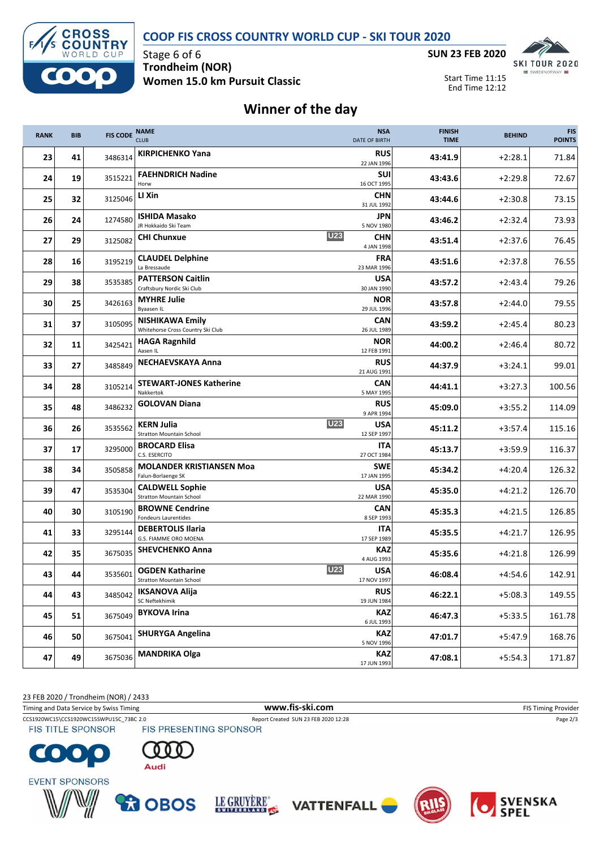**COOP FIS CROSS COUNTRY WORLD CUP - SKI TOUR 2020**



Stage 6 of 6 **Trondheim (NOR) Women 15.0 km Pursuit Classic**



Start Time 11:15 End Time 12:12

## **Winner of the day**

| <b>RANK</b> | <b>BIB</b> | <b>FIS CODE</b> | <b>NAME</b><br><b>CLUB</b>                                                         |                           | <b>NSA</b><br><b>DATE OF BIRTH</b> | <b>FINISH</b><br><b>TIME</b> | <b>BEHIND</b> | <b>FIS</b><br><b>POINTS</b> |
|-------------|------------|-----------------|------------------------------------------------------------------------------------|---------------------------|------------------------------------|------------------------------|---------------|-----------------------------|
| 23          | 41         | 3486314         | <b>KIRPICHENKO Yana</b>                                                            |                           | <b>RUS</b><br>22 JAN 1996          | 43:41.9                      | $+2:28.1$     | 71.84                       |
| 24          | 19         | 3515221         | <b>FAEHNDRICH Nadine</b><br>Horw                                                   |                           | <b>SUI</b><br>16 OCT 1995          | 43:43.6                      | $+2:29.8$     | 72.67                       |
| 25          | 32         | 3125046         | LI Xin                                                                             |                           | <b>CHN</b><br>31 JUL 1992          | 43:44.6                      | $+2:30.8$     | 73.15                       |
| 26          | 24         | 1274580         | <b>ISHIDA Masako</b><br>JR Hokkaido Ski Team                                       |                           | JPN<br>5 NOV 1980                  | 43:46.2                      | $+2:32.4$     | 73.93                       |
| 27          | 29         | 3125082         | <b>CHI Chunxue</b>                                                                 | <b>U23</b>                | <b>CHN</b><br>4 JAN 1998           | 43:51.4                      | $+2:37.6$     | 76.45                       |
| 28          | 16         | 3195219         | <b>CLAUDEL Delphine</b><br>La Bressaude                                            |                           | <b>FRA</b><br>23 MAR 1996          | 43:51.6                      | $+2:37.8$     | 76.55                       |
| 29          | 38         | 3535385         | <b>PATTERSON Caitlin</b><br>Craftsbury Nordic Ski Club                             |                           | <b>USA</b><br>30 JAN 1990          | 43:57.2                      | $+2:43.4$     | 79.26                       |
| 30          | 25         | 3426163         | <b>MYHRE Julie</b><br>Byaasen IL                                                   |                           | <b>NOR</b><br>29 JUL 1996          | 43:57.8                      | $+2:44.0$     | 79.55                       |
| 31          | 37         | 3105095         | <b>NISHIKAWA Emily</b><br>Whitehorse Cross Country Ski Club                        |                           | CAN<br>26 JUL 1989                 | 43:59.2                      | $+2:45.4$     | 80.23                       |
| 32          | 11         | 3425421         | <b>HAGA Ragnhild</b><br>Aasen IL                                                   | <b>NOR</b><br>12 FEB 1991 | 44:00.2                            | $+2:46.4$                    | 80.72         |                             |
| 33          | 27         | 3485849         | <b>NECHAEVSKAYA Anna</b>                                                           |                           | <b>RUS</b><br>21 AUG 1991          | 44:37.9                      | $+3:24.1$     | 99.01                       |
| 34          | 28         | 3105214         | <b>STEWART-JONES Katherine</b><br>Nakkertok                                        |                           | <b>CAN</b><br>5 MAY 1995           | 44:41.1                      | $+3:27.3$     | 100.56                      |
| 35          | 48         | 3486232         | <b>GOLOVAN Diana</b>                                                               |                           | <b>RUS</b><br>9 APR 1994           | 45:09.0                      | $+3:55.2$     | 114.09                      |
| 36          | 26         | 3535562         | <b>KERN Julia</b><br><b>Stratton Mountain School</b>                               | <b>U23</b>                | <b>USA</b><br>12 SEP 1997          | 45:11.2                      | $+3:57.4$     | 115.16                      |
| 37          | 17         | 3295000         | <b>BROCARD Elisa</b><br>C.S. ESERCITO                                              |                           | <b>ITA</b><br>27 OCT 1984          | 45:13.7                      | $+3:59.9$     | 116.37                      |
| 38          | 34         | 3505858         | <b>MOLANDER KRISTIANSEN Moa</b><br><b>SWE</b><br>Falun-Borlaenge SK<br>17 JAN 1995 |                           |                                    | 45:34.2                      | $+4:20.4$     | 126.32                      |
| 39          | 47         | 3535304         | <b>CALDWELL Sophie</b><br><b>Stratton Mountain School</b>                          | <b>USA</b><br>22 MAR 1990 |                                    | 45:35.0                      | $+4:21.2$     | 126.70                      |
| 40          | 30         | 3105190         | <b>BROWNE Cendrine</b><br>Fondeurs Laurentides                                     |                           | <b>CAN</b><br>8 SEP 1993           | 45:35.3                      | $+4:21.5$     | 126.85                      |
| 41          | 33         | 3295144         | <b>DEBERTOLIS Ilaria</b><br><b>G.S. FIAMME ORO MOENA</b>                           |                           | <b>ITA</b><br>17 SEP 1989          | 45:35.5                      | $+4:21.7$     | 126.95                      |
| 42          | 35         | 3675035         | <b>SHEVCHENKO Anna</b>                                                             |                           | KAZ<br>4 AUG 1993                  | 45:35.6                      | +4:21.8       | 126.99                      |
| 43          | 44         | 3535601         | <b>OGDEN Katharine</b><br>Stratton Mountain School                                 | U <sub>23</sub>           | <b>USA</b><br>17 NOV 1997          | 46:08.4                      | $+4:54.6$     | 142.91                      |
| 44          | 43         | 3485042         | <b>IKSANOVA Alija</b><br>SC Neftekhimik                                            |                           | <b>RUS</b><br>19 JUN 1984          | 46:22.1                      | $+5:08.3$     | 149.55                      |
| 45          | 51         | 3675049         | <b>BYKOVA Irina</b>                                                                |                           | <b>KAZ</b><br>6 JUL 1993           | 46:47.3                      | $+5:33.5$     | 161.78                      |
| 46          | 50         | 3675041         | <b>SHURYGA Angelina</b>                                                            |                           | <b>KAZ</b><br>5 NOV 1996           | 47:01.7                      | $+5:47.9$     | 168.76                      |
| 47          | 49         | 3675036         | <b>MANDRIKA Olga</b>                                                               |                           | <b>KAZ</b><br>17 JUN 1993          | 47:08.1                      | $+5:54.3$     | 171.87                      |

23 FEB 2020 / Trondheim (NOR) / 2433

Timing and Data Service by Swiss Timing **WWW.fis-Ski.com WWW.fis-Ski.com** FIS Timing Provider

CCS1920WC15\CCS1920WC15SWPU15C\_73BC 2.0 Report Created SUN 23 FEB 2020 12:28 Page 2/3<br>
FIS TITLE SPONSOR FIS PRESENTING SPONSOR **FIS TITLE SPONSOR** 

 $\bullet$ C